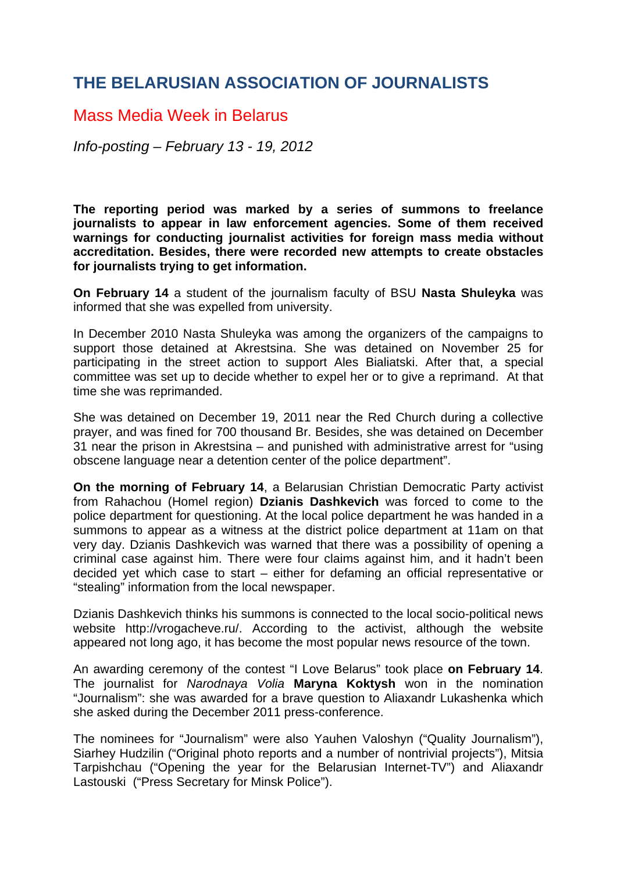## **THE BELARUSIAN ASSOCIATION OF JOURNALISTS**

## Mass Media Week in Belarus

*Info-posting – February 13 - 19, 2012* 

**The reporting period was marked by a series of summons to freelance journalists to appear in law enforcement agencies. Some of them received warnings for conducting journalist activities for foreign mass media without accreditation. Besides, there were recorded new attempts to create obstacles for journalists trying to get information.** 

**On February 14** a student of the journalism faculty of BSU **Nasta Shuleyka** was informed that she was expelled from university.

In December 2010 Nasta Shuleyka was among the organizers of the campaigns to support those detained at Akrestsina. She was detained on November 25 for participating in the street action to support Ales Bialiatski. After that, a special committee was set up to decide whether to expel her or to give a reprimand. At that time she was reprimanded.

She was detained on December 19, 2011 near the Red Church during a collective prayer, and was fined for 700 thousand Br. Besides, she was detained on December 31 near the prison in Akrestsina – and punished with administrative arrest for "using obscene language near a detention center of the police department".

**On the morning of February 14**, a Belarusian Christian Democratic Party activist from Rahachou (Homel region) **Dzianis Dashkevich** was forced to come to the police department for questioning. At the local police department he was handed in a summons to appear as a witness at the district police department at 11am on that very day. Dzianis Dashkevich was warned that there was a possibility of opening a criminal case against him. There were four claims against him, and it hadn't been decided yet which case to start – either for defaming an official representative or "stealing" information from the local newspaper.

Dzianis Dashkevich thinks his summons is connected to the local socio-political news website http://vrogacheve.ru/. According to the activist, although the website appeared not long ago, it has become the most popular news resource of the town.

An awarding ceremony of the contest "I Love Belarus" took place **on February 14**. The journalist for *Narodnaya Volia* **Maryna Koktysh** won in the nomination "Journalism": she was awarded for a brave question to Aliaxandr Lukashenka which she asked during the December 2011 press-conference.

The nominees for "Journalism" were also Yauhen Valoshyn ("Quality Journalism"), Siarhey Hudzilin ("Original photo reports and a number of nontrivial projects"), Mitsia Tarpishchau ("Opening the year for the Belarusian Internet-TV") and Aliaxandr Lastouski ("Press Secretary for Minsk Police").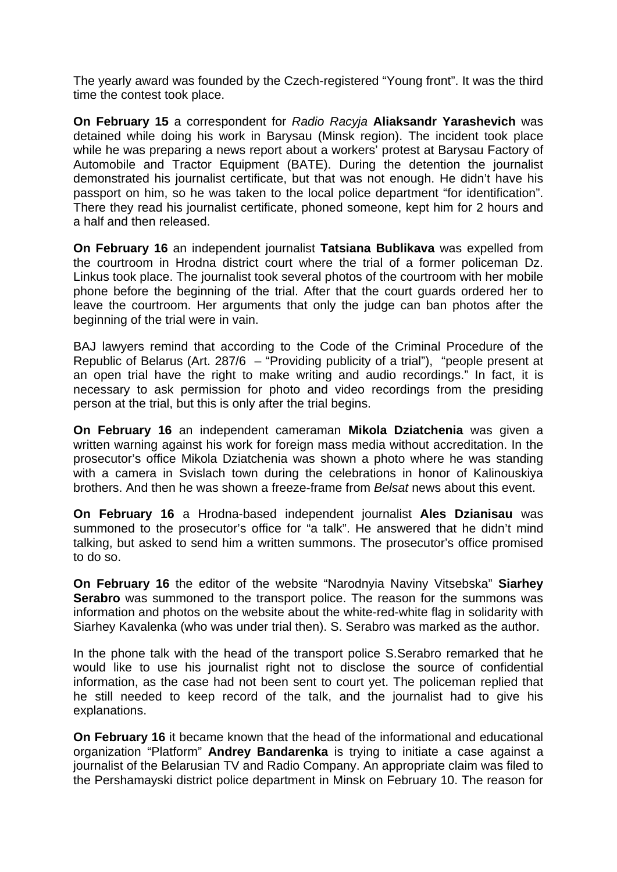The yearly award was founded by the Czech-registered "Young front". It was the third time the contest took place.

**On February 15** a correspondent for *Radio Racyja* **Aliaksandr Yarashevich** was detained while doing his work in Barysau (Minsk region). The incident took place while he was preparing a news report about a workers' protest at Barysau Factory of Automobile and Tractor Equipment (BATE). During the detention the journalist demonstrated his journalist certificate, but that was not enough. He didn't have his passport on him, so he was taken to the local police department "for identification". There they read his journalist certificate, phoned someone, kept him for 2 hours and a half and then released.

**On February 16** an independent journalist **Tatsiana Bublikava** was expelled from the courtroom in Hrodna district court where the trial of a former policeman Dz. Linkus took place. The journalist took several photos of the courtroom with her mobile phone before the beginning of the trial. After that the court guards ordered her to leave the courtroom. Her arguments that only the judge can ban photos after the beginning of the trial were in vain.

BAJ lawyers remind that according to the Code of the Criminal Procedure of the Republic of Belarus (Art. 287/6 – "Providing publicity of a trial"), "people present at an open trial have the right to make writing and audio recordings." In fact, it is necessary to ask permission for photo and video recordings from the presiding person at the trial, but this is only after the trial begins.

**On February 16** an independent cameraman **Mikola Dziatchenia** was given a written warning against his work for foreign mass media without accreditation. In the prosecutor's office Mikola Dziatchenia was shown a photo where he was standing with a camera in Svislach town during the celebrations in honor of Kalinouskiya brothers. And then he was shown a freeze-frame from *Belsat* news about this event.

**On February 16** a Hrodna-based independent journalist **Ales Dzianisau** was summoned to the prosecutor's office for "a talk". He answered that he didn't mind talking, but asked to send him a written summons. The prosecutor's office promised to do so.

**On February 16** the editor of the website "Narodnyia Naviny Vitsebska" **Siarhey Serabro** was summoned to the transport police. The reason for the summons was information and photos on the website about the white-red-white flag in solidarity with Siarhey Kavalenka (who was under trial then). S. Serabro was marked as the author.

In the phone talk with the head of the transport police S.Serabro remarked that he would like to use his journalist right not to disclose the source of confidential information, as the case had not been sent to court yet. The policeman replied that he still needed to keep record of the talk, and the journalist had to give his explanations.

**On February 16** it became known that the head of the informational and educational organization "Platform" **Andrey Bandarenka** is trying to initiate a case against a journalist of the Belarusian TV and Radio Company. An appropriate claim was filed to the Pershamayski district police department in Minsk on February 10. The reason for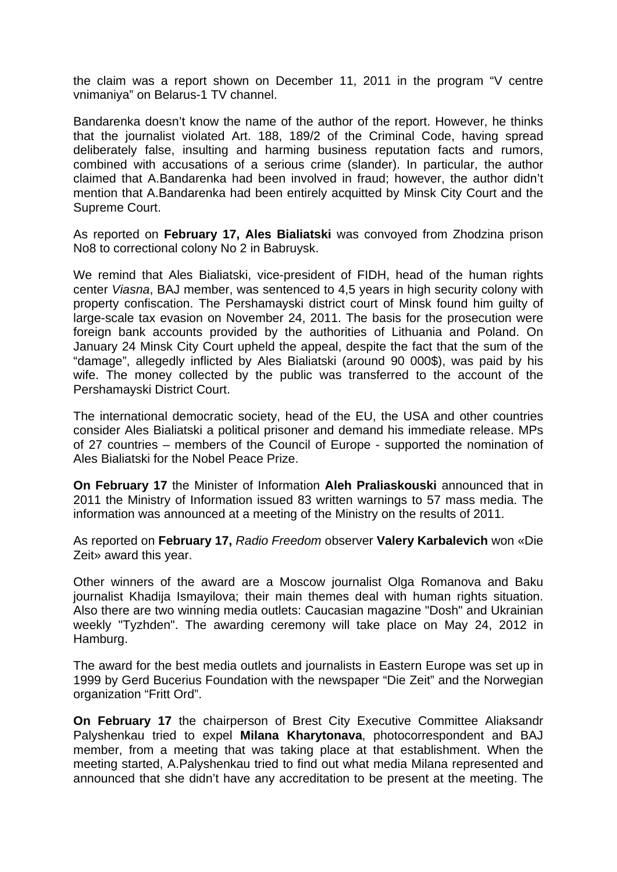the claim was a report shown on December 11, 2011 in the program "V centre vnimaniya" on Belarus-1 TV channel.

Bandarenka doesn't know the name of the author of the report. However, he thinks that the journalist violated Art. 188, 189/2 of the Criminal Code, having spread deliberately false, insulting and harming business reputation facts and rumors, combined with accusations of a serious crime (slander). In particular, the author claimed that A.Bandarenka had been involved in fraud; however, the author didn't mention that A.Bandarenka had been entirely acquitted by Minsk City Court and the Supreme Court.

As reported on **February 17, Ales Bialiatski** was convoyed from Zhodzina prison No8 to correctional colony No 2 in Babruysk.

We remind that Ales Bialiatski, vice-president of FIDH, head of the human rights center *Viasna*, BAJ member, was sentenced to 4,5 years in high security colony with property confiscation. The Pershamayski district court of Minsk found him guilty of large-scale tax evasion on November 24, 2011. The basis for the prosecution were foreign bank accounts provided by the authorities of Lithuania and Poland. On January 24 Minsk City Court upheld the appeal, despite the fact that the sum of the "damage", allegedly inflicted by Ales Bialiatski (around 90 000\$), was paid by his wife. The money collected by the public was transferred to the account of the Pershamayski District Court.

The international democratic society, head of the EU, the USA and other countries consider Ales Bialiatski a political prisoner and demand his immediate release. MPs of 27 countries – members of the Council of Europe - supported the nomination of Ales Bialiatski for the Nobel Peace Prize.

**On February 17** the Minister of Information **Aleh Praliaskouski** announced that in 2011 the Ministry of Information issued 83 written warnings to 57 mass media. The information was announced at a meeting of the Ministry on the results of 2011.

As reported on **February 17,** *Radio Freedom* observer **Valery Karbalevich** won «Die Zeit» award this year.

Other winners of the award are a Moscow journalist Olga Romanova and Baku journalist Khadija Ismayilova; their main themes deal with human rights situation. Also there are two winning media outlets: Caucasian magazine "Dosh" and Ukrainian weekly "Tyzhden". The awarding ceremony will take place on May 24, 2012 in Hamburg.

The award for the best media outlets and journalists in Eastern Europe was set up in 1999 by Gerd Bucerius Foundation with the newspaper "Die Zeit" and the Norwegian organization "Fritt Ord".

**On February 17** the chairperson of Brest City Executive Committee Aliaksandr Palyshenkau tried to expel **Milana Kharytonava**, photocorrespondent and BAJ member, from a meeting that was taking place at that establishment. When the meeting started, A.Palyshenkau tried to find out what media Milana represented and announced that she didn't have any accreditation to be present at the meeting. The